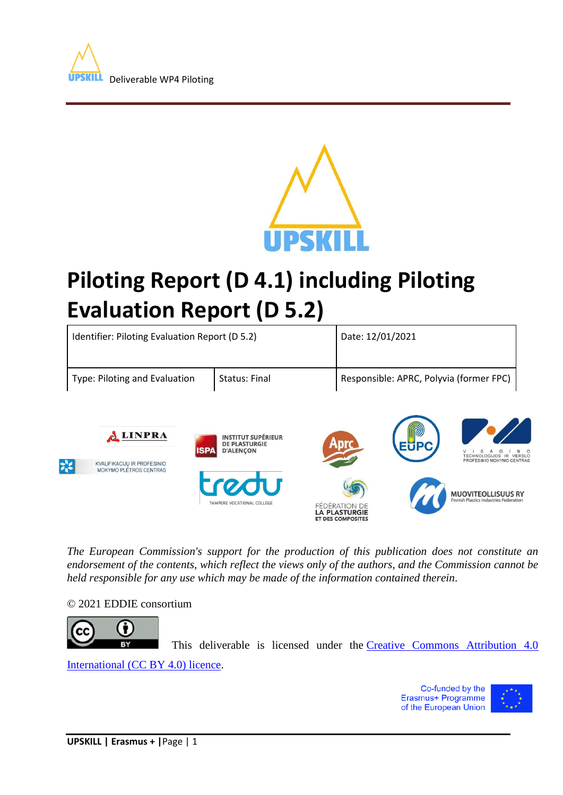



# **Piloting Report (D 4.1) including Piloting Evaluation Report (D 5.2)**



*The European Commission's support for the production of this publication does not constitute an endorsement of the contents, which reflect the views only of the authors, and the Commission cannot be held responsible for any use which may be made of the information contained therein*.

#### © 2021 EDDIE consortium



This deliverable is licensed under the [Creative Commons Attribution 4.0](http://creativecommons.org/licenses/by/4.0/) 

ET DES COMPOSITES

[International \(CC BY 4.0\) licence.](http://creativecommons.org/licenses/by/4.0/)

Co-funded by the Erasmus+ Programme of the European Union

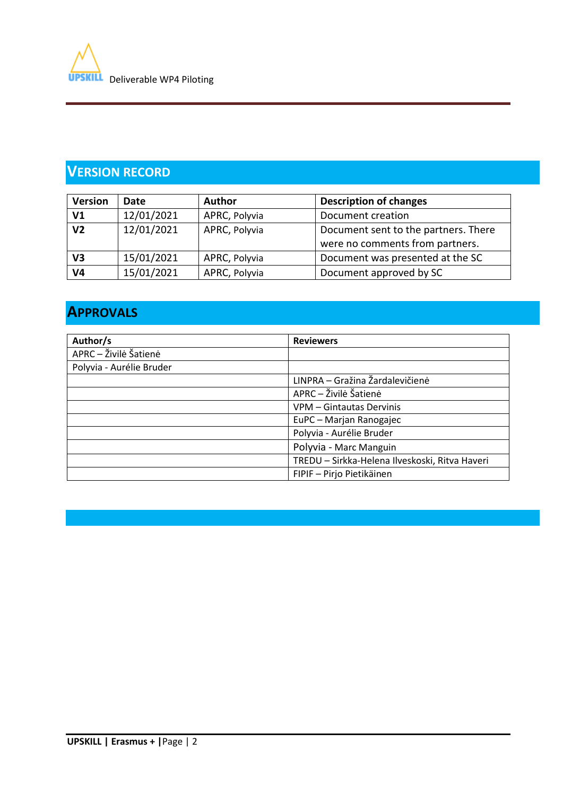

# **VERSION RECORD**

| <b>Version</b> | <b>Date</b> | <b>Author</b> | <b>Description of changes</b>                                           |  |  |
|----------------|-------------|---------------|-------------------------------------------------------------------------|--|--|
| V <sub>1</sub> | 12/01/2021  | APRC, Polyvia | Document creation                                                       |  |  |
| V <sub>2</sub> | 12/01/2021  | APRC, Polyvia | Document sent to the partners. There<br>were no comments from partners. |  |  |
| V3             | 15/01/2021  | APRC, Polyvia | Document was presented at the SC                                        |  |  |
| V4             | 15/01/2021  | APRC, Polyvia | Document approved by SC                                                 |  |  |

# **APPROVALS**

| Author/s                 | <b>Reviewers</b>                               |  |  |  |
|--------------------------|------------------------------------------------|--|--|--|
| APRC - Živilė Šatienė    |                                                |  |  |  |
| Polyvia - Aurélie Bruder |                                                |  |  |  |
|                          | LINPRA - Gražina Žardalevičienė                |  |  |  |
|                          | APRC - Živilė Šatienė                          |  |  |  |
|                          | VPM - Gintautas Dervinis                       |  |  |  |
|                          | EuPC - Marjan Ranogajec                        |  |  |  |
|                          | Polyvia - Aurélie Bruder                       |  |  |  |
|                          | Polyvia - Marc Manguin                         |  |  |  |
|                          | TREDU - Sirkka-Helena Ilveskoski, Ritva Haveri |  |  |  |
|                          | FIPIF - Pirjo Pietikäinen                      |  |  |  |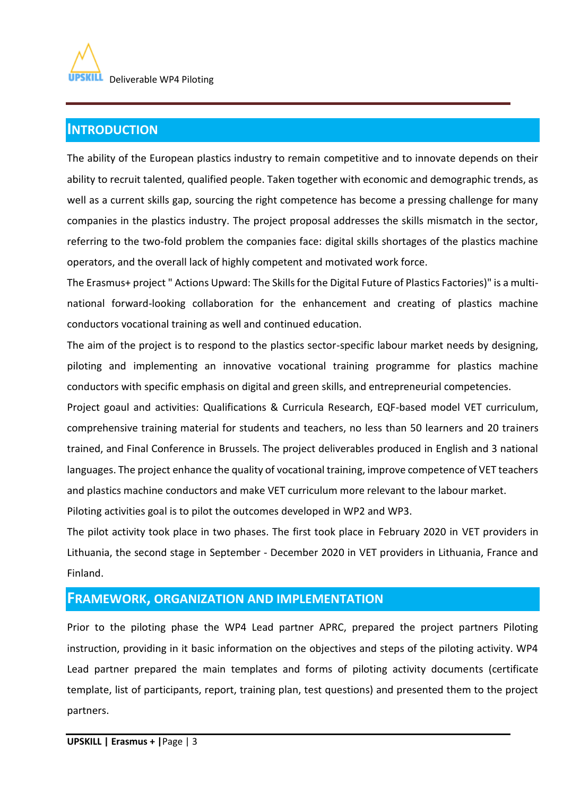## **INTRODUCTION**

The ability of the European plastics industry to remain competitive and to innovate depends on their ability to recruit talented, qualified people. Taken together with economic and demographic trends, as well as a current skills gap, sourcing the right competence has become a pressing challenge for many companies in the plastics industry. The project proposal addresses the skills mismatch in the sector, referring to the two-fold problem the companies face: digital skills shortages of the plastics machine operators, and the overall lack of highly competent and motivated work force.

The Erasmus+ project " Actions Upward: The Skills for the Digital Future of Plastics Factories)" is a multinational forward-looking collaboration for the enhancement and creating of plastics machine conductors vocational training as well and continued education.

The aim of the project is to respond to the plastics sector-specific labour market needs by designing, piloting and implementing an innovative vocational training programme for plastics machine conductors with specific emphasis on digital and green skills, and entrepreneurial competencies.

Project goaul and activities: Qualifications & Curricula Research, EQF-based model VET curriculum, comprehensive training material for students and teachers, no less than 50 learners and 20 trainers trained, and Final Conference in Brussels. The project deliverables produced in English and 3 national languages. The project enhance the quality of vocational training, improve competence of VET teachers and plastics machine conductors and make VET curriculum more relevant to the labour market.

Piloting activities goal is to pilot the outcomes developed in WP2 and WP3.

The pilot activity took place in two phases. The first took place in February 2020 in VET providers in Lithuania, the second stage in September - December 2020 in VET providers in Lithuania, France and Finland.

## **FRAMEWORK, ORGANIZATION AND IMPLEMENTATION**

Prior to the piloting phase the WP4 Lead partner APRC, prepared the project partners Piloting instruction, providing in it basic information on the objectives and steps of the piloting activity. WP4 Lead partner prepared the main templates and forms of piloting activity documents (certificate template, list of participants, report, training plan, test questions) and presented them to the project partners.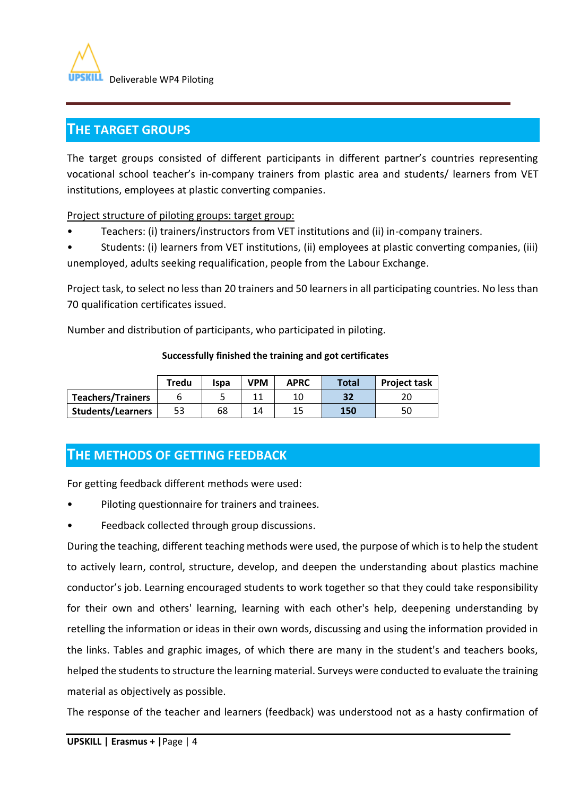

## **THE TARGET GROUPS**

The target groups consisted of different participants in different partner's countries representing vocational school teacher's in-company trainers from plastic area and students/ learners from VET institutions, employees at plastic converting companies.

Project structure of piloting groups: target group:

• Teachers: (i) trainers/instructors from VET institutions and (ii) in-company trainers.

• Students: (i) learners from VET institutions, (ii) employees at plastic converting companies, (iii) unemployed, adults seeking requalification, people from the Labour Exchange.

Project task, to select no less than 20 trainers and 50 learners in all participating countries. No less than 70 qualification certificates issued.

Number and distribution of participants, who participated in piloting.

|                          | Tredu | Ispa | VPM | <b>APRC</b> | <b>Total</b> | <b>Project task</b> |
|--------------------------|-------|------|-----|-------------|--------------|---------------------|
| <b>Teachers/Trainers</b> |       |      |     | 10          | 32           | 20                  |
| <b>Students/Learners</b> | 53    | 68   | 14  | 15          | 150          | 50                  |

#### **Successfully finished the training and got certificates**

# **THE METHODS OF GETTING FEEDBACK**

For getting feedback different methods were used:

- Piloting questionnaire for trainers and trainees.
- Feedback collected through group discussions.

During the teaching, different teaching methods were used, the purpose of which is to help the student to actively learn, control, structure, develop, and deepen the understanding about plastics machine conductor's job. Learning encouraged students to work together so that they could take responsibility for their own and others' learning, learning with each other's help, deepening understanding by retelling the information or ideas in their own words, discussing and using the information provided in the links. Tables and graphic images, of which there are many in the student's and teachers books, helped the students to structure the learning material. Surveys were conducted to evaluate the training material as objectively as possible.

The response of the teacher and learners (feedback) was understood not as a hasty confirmation of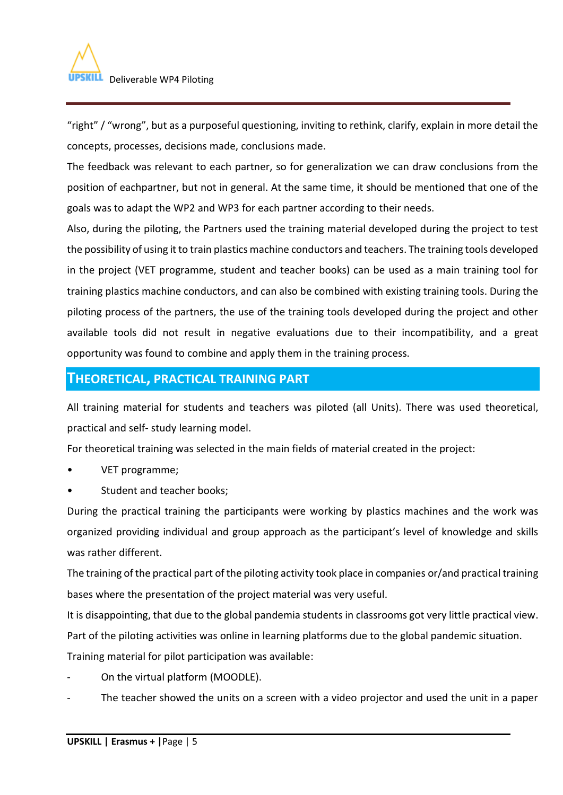

"right" / "wrong", but as a purposeful questioning, inviting to rethink, clarify, explain in more detail the concepts, processes, decisions made, conclusions made.

The feedback was relevant to each partner, so for generalization we can draw conclusions from the position of eachpartner, but not in general. At the same time, it should be mentioned that one of the goals was to adapt the WP2 and WP3 for each partner according to their needs.

Also, during the piloting, the Partners used the training material developed during the project to test the possibility of using it to train plastics machine conductors and teachers. The training tools developed in the project (VET programme, student and teacher books) can be used as a main training tool for training plastics machine conductors, and can also be combined with existing training tools. During the piloting process of the partners, the use of the training tools developed during the project and other available tools did not result in negative evaluations due to their incompatibility, and a great opportunity was found to combine and apply them in the training process.

## **THEORETICAL, PRACTICAL TRAINING PART**

All training material for students and teachers was piloted (all Units). There was used theoretical, practical and self- study learning model.

For theoretical training was selected in the main fields of material created in the project:

- VET programme;
- Student and teacher books;

During the practical training the participants were working by plastics machines and the work was organized providing individual and group approach as the participant's level of knowledge and skills was rather different.

The training of the practical part of the piloting activity took place in companies or/and practical training bases where the presentation of the project material was very useful.

It is disappointing, that due to the global pandemia students in classrooms got very little practical view. Part of the piloting activities was online in learning platforms due to the global pandemic situation. Training material for pilot participation was available:

- On the virtual platform (MOODLE).
- The teacher showed the units on a screen with a video projector and used the unit in a paper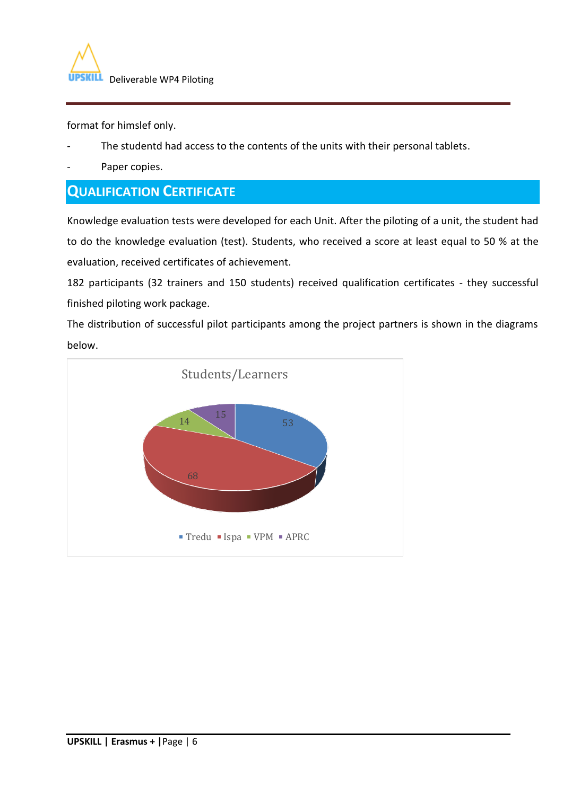

format for himslef only.

- The studentd had access to the contents of the units with their personal tablets.
- Paper copies.

# **QUALIFICATION CERTIFICATE**

Knowledge evaluation tests were developed for each Unit. After the piloting of a unit, the student had to do the knowledge evaluation (test). Students, who received a score at least equal to 50 % at the evaluation, received certificates of achievement.

182 participants (32 trainers and 150 students) received qualification certificates - they successful finished piloting work package.

The distribution of successful pilot participants among the project partners is shown in the diagrams below.

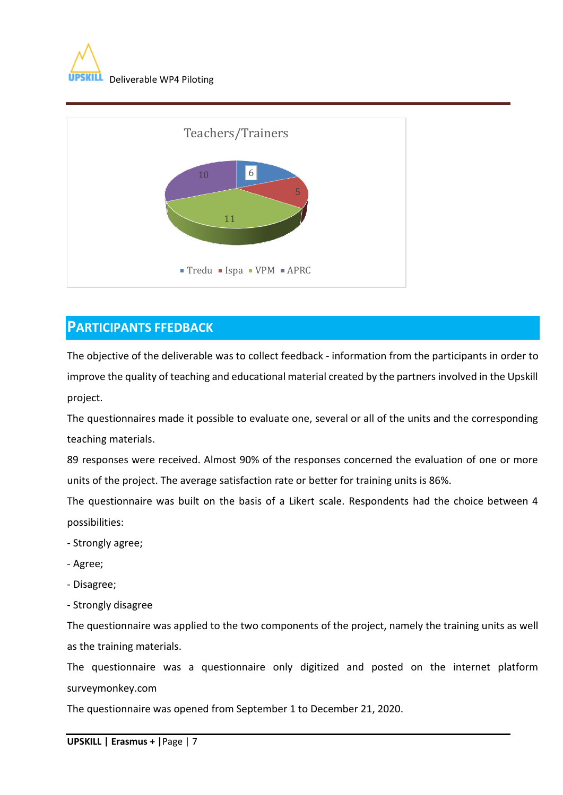



# **PARTICIPANTS FFEDBACK**

The objective of the deliverable was to collect feedback - information from the participants in order to improve the quality of teaching and educational material created by the partners involved in the Upskill project.

The questionnaires made it possible to evaluate one, several or all of the units and the corresponding teaching materials.

89 responses were received. Almost 90% of the responses concerned the evaluation of one or more units of the project. The average satisfaction rate or better for training units is 86%.

The questionnaire was built on the basis of a Likert scale. Respondents had the choice between 4 possibilities:

- Strongly agree;
- Agree;
- Disagree;
- Strongly disagree

The questionnaire was applied to the two components of the project, namely the training units as well as the training materials.

The questionnaire was a questionnaire only digitized and posted on the internet platform surveymonkey.com

The questionnaire was opened from September 1 to December 21, 2020.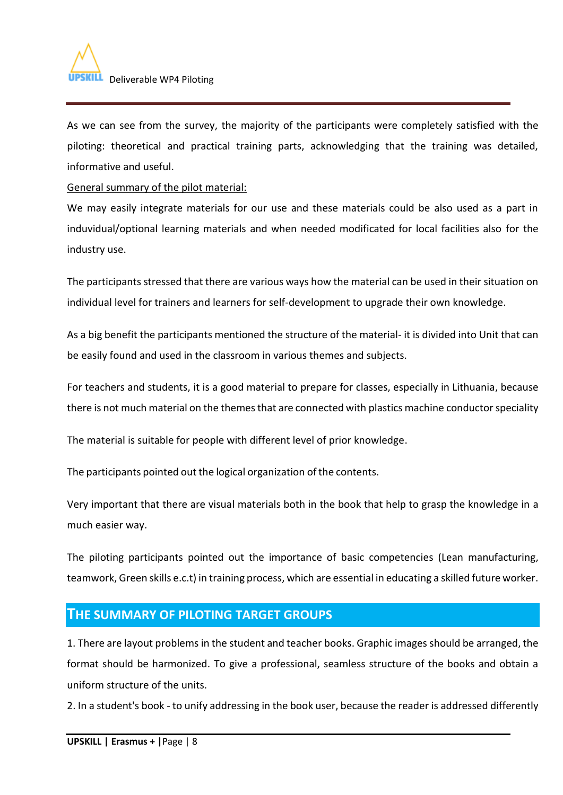

As we can see from the survey, the majority of the participants were completely satisfied with the piloting: theoretical and practical training parts, acknowledging that the training was detailed, informative and useful.

General summary of the pilot material:

We may easily integrate materials for our use and these materials could be also used as a part in induvidual/optional learning materials and when needed modificated for local facilities also for the industry use.

The participants stressed that there are various ways how the material can be used in their situation on individual level for trainers and learners for self-development to upgrade their own knowledge.

As a big benefit the participants mentioned the structure of the material- it is divided into Unit that can be easily found and used in the classroom in various themes and subjects.

For teachers and students, it is a good material to prepare for classes, especially in Lithuania, because there is not much material on the themes that are connected with plastics machine conductor speciality

The material is suitable for people with different level of prior knowledge.

The participants pointed out the logical organization of the contents.

Very important that there are visual materials both in the book that help to grasp the knowledge in a much easier way.

The piloting participants pointed out the importance of basic competencies (Lean manufacturing, teamwork, Green skills e.c.t) in training process, which are essential in educating a skilled future worker.

## **THE SUMMARY OF PILOTING TARGET GROUPS**

1. There are layout problems in the student and teacher books. Graphic images should be arranged, the format should be harmonized. To give a professional, seamless structure of the books and obtain a uniform structure of the units.

2. In a student's book - to unify addressing in the book user, because the reader is addressed differently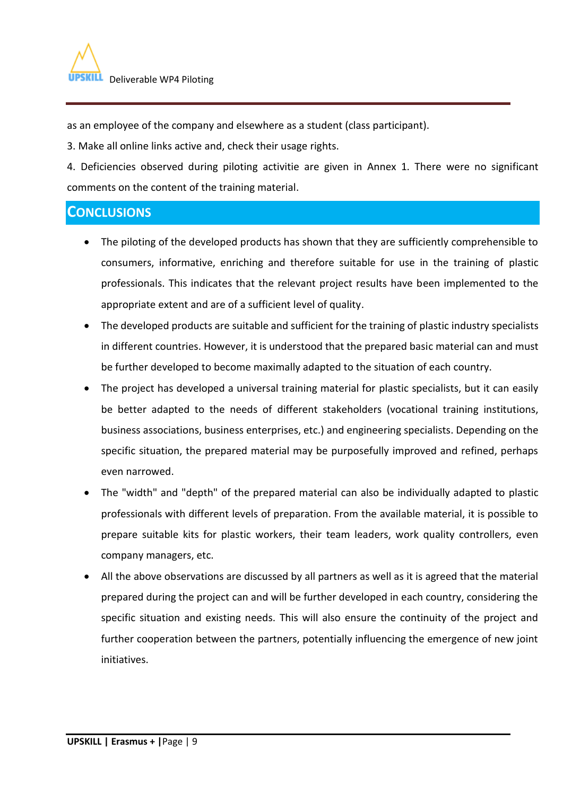as an employee of the company and elsewhere as a student (class participant).

3. Make all online links active and, check their usage rights.

4. Deficiencies observed during piloting activitie are given in Annex 1. There were no significant comments on the content of the training material.

# **CONCLUSIONS**

- The piloting of the developed products has shown that they are sufficiently comprehensible to consumers, informative, enriching and therefore suitable for use in the training of plastic professionals. This indicates that the relevant project results have been implemented to the appropriate extent and are of a sufficient level of quality.
- The developed products are suitable and sufficient for the training of plastic industry specialists in different countries. However, it is understood that the prepared basic material can and must be further developed to become maximally adapted to the situation of each country.
- The project has developed a universal training material for plastic specialists, but it can easily be better adapted to the needs of different stakeholders (vocational training institutions, business associations, business enterprises, etc.) and engineering specialists. Depending on the specific situation, the prepared material may be purposefully improved and refined, perhaps even narrowed.
- The "width" and "depth" of the prepared material can also be individually adapted to plastic professionals with different levels of preparation. From the available material, it is possible to prepare suitable kits for plastic workers, their team leaders, work quality controllers, even company managers, etc.
- All the above observations are discussed by all partners as well as it is agreed that the material prepared during the project can and will be further developed in each country, considering the specific situation and existing needs. This will also ensure the continuity of the project and further cooperation between the partners, potentially influencing the emergence of new joint initiatives.